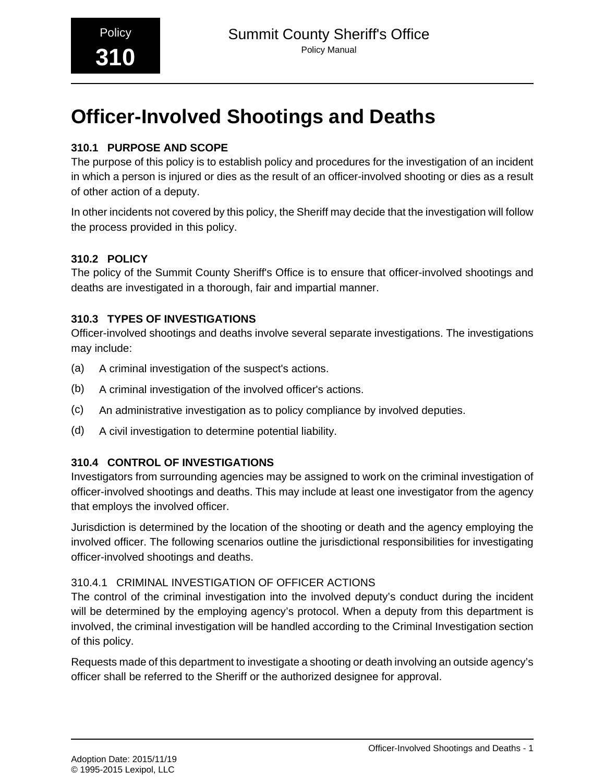## **310.1 PURPOSE AND SCOPE**

The purpose of this policy is to establish policy and procedures for the investigation of an incident in which a person is injured or dies as the result of an officer-involved shooting or dies as a result of other action of a deputy.

In other incidents not covered by this policy, the Sheriff may decide that the investigation will follow the process provided in this policy.

## **310.2 POLICY**

The policy of the Summit County Sheriff's Office is to ensure that officer-involved shootings and deaths are investigated in a thorough, fair and impartial manner.

## **310.3 TYPES OF INVESTIGATIONS**

Officer-involved shootings and deaths involve several separate investigations. The investigations may include:

- (a) A criminal investigation of the suspect's actions.
- (b) A criminal investigation of the involved officer's actions.
- (c) An administrative investigation as to policy compliance by involved deputies.
- (d) A civil investigation to determine potential liability.

## **310.4 CONTROL OF INVESTIGATIONS**

Investigators from surrounding agencies may be assigned to work on the criminal investigation of officer-involved shootings and deaths. This may include at least one investigator from the agency that employs the involved officer.

Jurisdiction is determined by the location of the shooting or death and the agency employing the involved officer. The following scenarios outline the jurisdictional responsibilities for investigating officer-involved shootings and deaths.

## 310.4.1 CRIMINAL INVESTIGATION OF OFFICER ACTIONS

The control of the criminal investigation into the involved deputy's conduct during the incident will be determined by the employing agency's protocol. When a deputy from this department is involved, the criminal investigation will be handled according to the Criminal Investigation section of this policy.

Requests made of this department to investigate a shooting or death involving an outside agency's officer shall be referred to the Sheriff or the authorized designee for approval.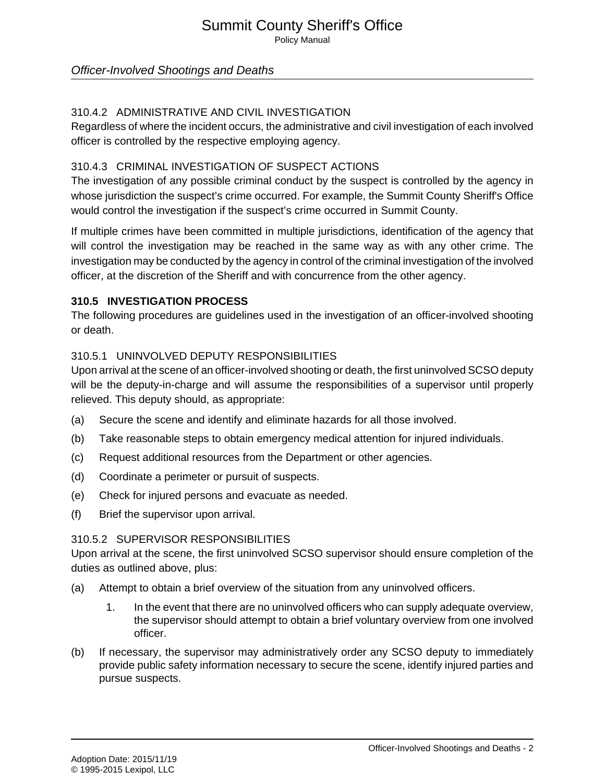## Summit County Sheriff's Office Policy Manual

## Officer-Involved Shootings and Deaths

#### 310.4.2 ADMINISTRATIVE AND CIVIL INVESTIGATION

Regardless of where the incident occurs, the administrative and civil investigation of each involved officer is controlled by the respective employing agency.

#### 310.4.3 CRIMINAL INVESTIGATION OF SUSPECT ACTIONS

The investigation of any possible criminal conduct by the suspect is controlled by the agency in whose jurisdiction the suspect's crime occurred. For example, the Summit County Sheriff's Office would control the investigation if the suspect's crime occurred in Summit County.

If multiple crimes have been committed in multiple jurisdictions, identification of the agency that will control the investigation may be reached in the same way as with any other crime. The investigation may be conducted by the agency in control of the criminal investigation of the involved officer, at the discretion of the Sheriff and with concurrence from the other agency.

#### **310.5 INVESTIGATION PROCESS**

The following procedures are guidelines used in the investigation of an officer-involved shooting or death.

#### 310.5.1 UNINVOLVED DEPUTY RESPONSIBILITIES

Upon arrival at the scene of an officer-involved shooting or death, the first uninvolved SCSO deputy will be the deputy-in-charge and will assume the responsibilities of a supervisor until properly relieved. This deputy should, as appropriate:

- (a) Secure the scene and identify and eliminate hazards for all those involved.
- (b) Take reasonable steps to obtain emergency medical attention for injured individuals.
- (c) Request additional resources from the Department or other agencies.
- (d) Coordinate a perimeter or pursuit of suspects.
- (e) Check for injured persons and evacuate as needed.
- (f) Brief the supervisor upon arrival.

#### 310.5.2 SUPERVISOR RESPONSIBILITIES

Upon arrival at the scene, the first uninvolved SCSO supervisor should ensure completion of the duties as outlined above, plus:

- (a) Attempt to obtain a brief overview of the situation from any uninvolved officers.
	- 1. In the event that there are no uninvolved officers who can supply adequate overview, the supervisor should attempt to obtain a brief voluntary overview from one involved officer.
- (b) If necessary, the supervisor may administratively order any SCSO deputy to immediately provide public safety information necessary to secure the scene, identify injured parties and pursue suspects.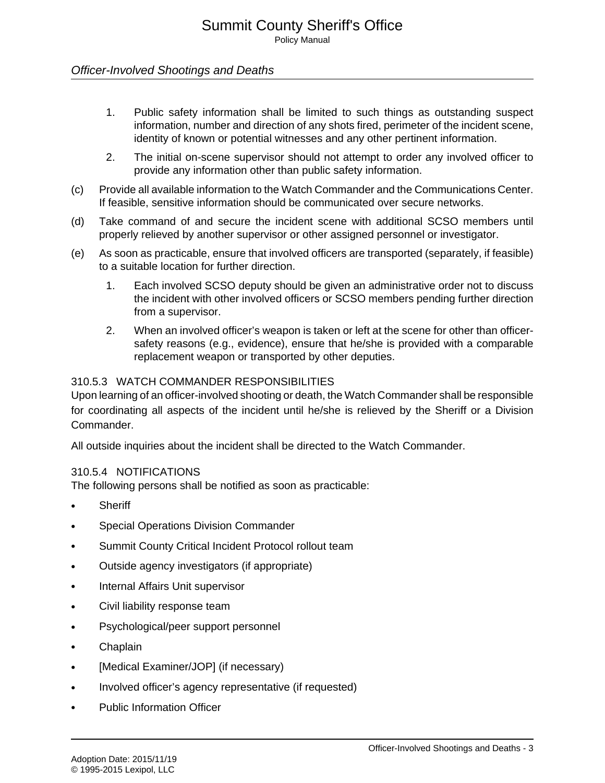- 1. Public safety information shall be limited to such things as outstanding suspect information, number and direction of any shots fired, perimeter of the incident scene, identity of known or potential witnesses and any other pertinent information.
- 2. The initial on-scene supervisor should not attempt to order any involved officer to provide any information other than public safety information.
- (c) Provide all available information to the Watch Commander and the Communications Center. If feasible, sensitive information should be communicated over secure networks.
- (d) Take command of and secure the incident scene with additional SCSO members until properly relieved by another supervisor or other assigned personnel or investigator.
- (e) As soon as practicable, ensure that involved officers are transported (separately, if feasible) to a suitable location for further direction.
	- 1. Each involved SCSO deputy should be given an administrative order not to discuss the incident with other involved officers or SCSO members pending further direction from a supervisor.
	- 2. When an involved officer's weapon is taken or left at the scene for other than officersafety reasons (e.g., evidence), ensure that he/she is provided with a comparable replacement weapon or transported by other deputies.

#### 310.5.3 WATCH COMMANDER RESPONSIBILITIES

Upon learning of an officer-involved shooting or death, the Watch Commander shall be responsible for coordinating all aspects of the incident until he/she is relieved by the Sheriff or a Division Commander.

All outside inquiries about the incident shall be directed to the Watch Commander.

#### 310.5.4 NOTIFICATIONS

The following persons shall be notified as soon as practicable:

- **Sheriff**
- Special Operations Division Commander
- Summit County Critical Incident Protocol rollout team
- Outside agency investigators (if appropriate)
- Internal Affairs Unit supervisor
- Civil liability response team
- Psychological/peer support personnel
- Chaplain
- [Medical Examiner/JOP] (if necessary)
- Involved officer's agency representative (if requested)
- Public Information Officer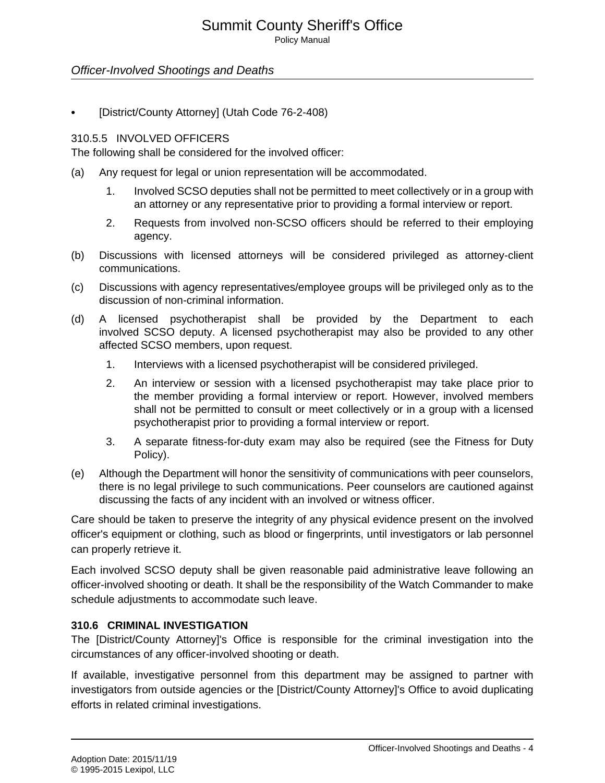## Summit County Sheriff's Office

Policy Manual

## Officer-Involved Shootings and Deaths

• [District/County Attorney] (Utah Code 76-2-408)

#### 310.5.5 INVOLVED OFFICERS

The following shall be considered for the involved officer:

- (a) Any request for legal or union representation will be accommodated.
	- 1. Involved SCSO deputies shall not be permitted to meet collectively or in a group with an attorney or any representative prior to providing a formal interview or report.
	- 2. Requests from involved non-SCSO officers should be referred to their employing agency.
- (b) Discussions with licensed attorneys will be considered privileged as attorney-client communications.
- (c) Discussions with agency representatives/employee groups will be privileged only as to the discussion of non-criminal information.
- (d) A licensed psychotherapist shall be provided by the Department to each involved SCSO deputy. A licensed psychotherapist may also be provided to any other affected SCSO members, upon request.
	- 1. Interviews with a licensed psychotherapist will be considered privileged.
	- 2. An interview or session with a licensed psychotherapist may take place prior to the member providing a formal interview or report. However, involved members shall not be permitted to consult or meet collectively or in a group with a licensed psychotherapist prior to providing a formal interview or report.
	- 3. A separate fitness-for-duty exam may also be required (see the Fitness for Duty Policy).
- (e) Although the Department will honor the sensitivity of communications with peer counselors, there is no legal privilege to such communications. Peer counselors are cautioned against discussing the facts of any incident with an involved or witness officer.

Care should be taken to preserve the integrity of any physical evidence present on the involved officer's equipment or clothing, such as blood or fingerprints, until investigators or lab personnel can properly retrieve it.

Each involved SCSO deputy shall be given reasonable paid administrative leave following an officer-involved shooting or death. It shall be the responsibility of the Watch Commander to make schedule adjustments to accommodate such leave.

## **310.6 CRIMINAL INVESTIGATION**

The [District/County Attorney]'s Office is responsible for the criminal investigation into the circumstances of any officer-involved shooting or death.

If available, investigative personnel from this department may be assigned to partner with investigators from outside agencies or the [District/County Attorney]'s Office to avoid duplicating efforts in related criminal investigations.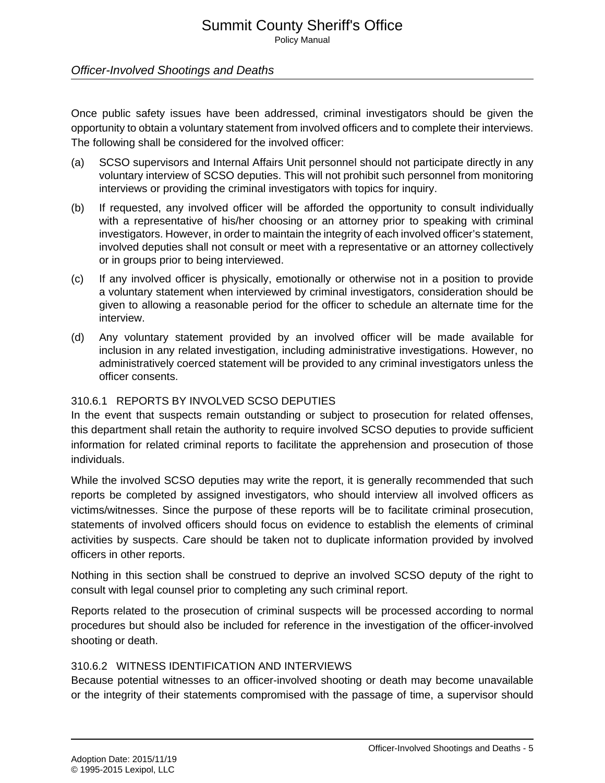Once public safety issues have been addressed, criminal investigators should be given the opportunity to obtain a voluntary statement from involved officers and to complete their interviews. The following shall be considered for the involved officer:

- (a) SCSO supervisors and Internal Affairs Unit personnel should not participate directly in any voluntary interview of SCSO deputies. This will not prohibit such personnel from monitoring interviews or providing the criminal investigators with topics for inquiry.
- (b) If requested, any involved officer will be afforded the opportunity to consult individually with a representative of his/her choosing or an attorney prior to speaking with criminal investigators. However, in order to maintain the integrity of each involved officer's statement, involved deputies shall not consult or meet with a representative or an attorney collectively or in groups prior to being interviewed.
- (c) If any involved officer is physically, emotionally or otherwise not in a position to provide a voluntary statement when interviewed by criminal investigators, consideration should be given to allowing a reasonable period for the officer to schedule an alternate time for the interview.
- (d) Any voluntary statement provided by an involved officer will be made available for inclusion in any related investigation, including administrative investigations. However, no administratively coerced statement will be provided to any criminal investigators unless the officer consents.

#### 310.6.1 REPORTS BY INVOLVED SCSO DEPUTIES

In the event that suspects remain outstanding or subject to prosecution for related offenses, this department shall retain the authority to require involved SCSO deputies to provide sufficient information for related criminal reports to facilitate the apprehension and prosecution of those individuals.

While the involved SCSO deputies may write the report, it is generally recommended that such reports be completed by assigned investigators, who should interview all involved officers as victims/witnesses. Since the purpose of these reports will be to facilitate criminal prosecution, statements of involved officers should focus on evidence to establish the elements of criminal activities by suspects. Care should be taken not to duplicate information provided by involved officers in other reports.

Nothing in this section shall be construed to deprive an involved SCSO deputy of the right to consult with legal counsel prior to completing any such criminal report.

Reports related to the prosecution of criminal suspects will be processed according to normal procedures but should also be included for reference in the investigation of the officer-involved shooting or death.

#### 310.6.2 WITNESS IDENTIFICATION AND INTERVIEWS

Because potential witnesses to an officer-involved shooting or death may become unavailable or the integrity of their statements compromised with the passage of time, a supervisor should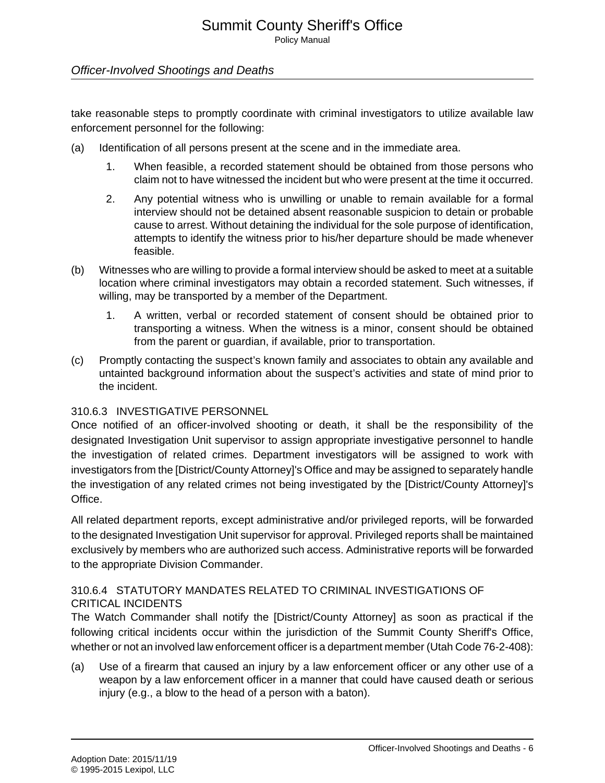Policy Manual

## Officer-Involved Shootings and Deaths

take reasonable steps to promptly coordinate with criminal investigators to utilize available law enforcement personnel for the following:

- (a) Identification of all persons present at the scene and in the immediate area.
	- 1. When feasible, a recorded statement should be obtained from those persons who claim not to have witnessed the incident but who were present at the time it occurred.
	- 2. Any potential witness who is unwilling or unable to remain available for a formal interview should not be detained absent reasonable suspicion to detain or probable cause to arrest. Without detaining the individual for the sole purpose of identification, attempts to identify the witness prior to his/her departure should be made whenever feasible.
- (b) Witnesses who are willing to provide a formal interview should be asked to meet at a suitable location where criminal investigators may obtain a recorded statement. Such witnesses, if willing, may be transported by a member of the Department.
	- 1. A written, verbal or recorded statement of consent should be obtained prior to transporting a witness. When the witness is a minor, consent should be obtained from the parent or guardian, if available, prior to transportation.
- (c) Promptly contacting the suspect's known family and associates to obtain any available and untainted background information about the suspect's activities and state of mind prior to the incident.

#### 310.6.3 INVESTIGATIVE PERSONNEL

Once notified of an officer-involved shooting or death, it shall be the responsibility of the designated Investigation Unit supervisor to assign appropriate investigative personnel to handle the investigation of related crimes. Department investigators will be assigned to work with investigators from the [District/County Attorney]'s Office and may be assigned to separately handle the investigation of any related crimes not being investigated by the [District/County Attorney]'s Office.

All related department reports, except administrative and/or privileged reports, will be forwarded to the designated Investigation Unit supervisor for approval. Privileged reports shall be maintained exclusively by members who are authorized such access. Administrative reports will be forwarded to the appropriate Division Commander.

## 310.6.4 STATUTORY MANDATES RELATED TO CRIMINAL INVESTIGATIONS OF CRITICAL INCIDENTS

The Watch Commander shall notify the [District/County Attorney] as soon as practical if the following critical incidents occur within the jurisdiction of the Summit County Sheriff's Office, whether or not an involved law enforcement officer is a department member (Utah Code 76-2-408):

(a) Use of a firearm that caused an injury by a law enforcement officer or any other use of a weapon by a law enforcement officer in a manner that could have caused death or serious injury (e.g., a blow to the head of a person with a baton).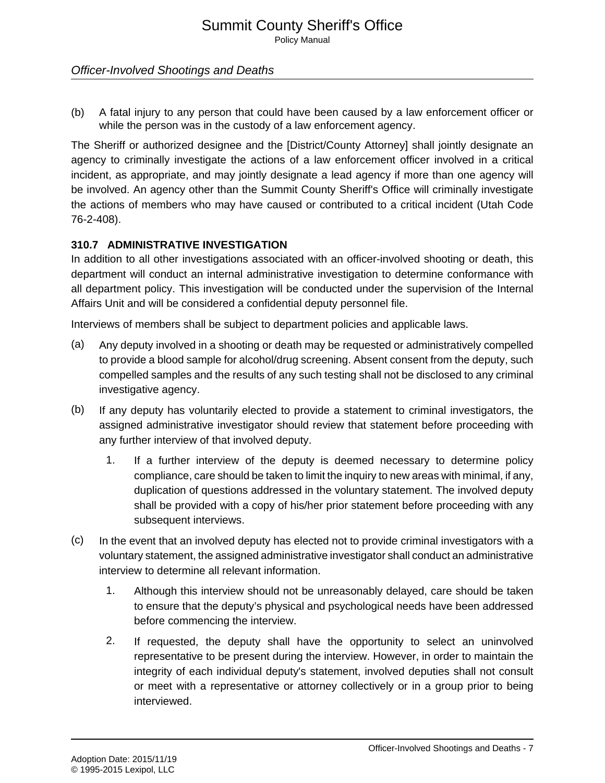(b) A fatal injury to any person that could have been caused by a law enforcement officer or while the person was in the custody of a law enforcement agency.

The Sheriff or authorized designee and the [District/County Attorney] shall jointly designate an agency to criminally investigate the actions of a law enforcement officer involved in a critical incident, as appropriate, and may jointly designate a lead agency if more than one agency will be involved. An agency other than the Summit County Sheriff's Office will criminally investigate the actions of members who may have caused or contributed to a critical incident (Utah Code 76-2-408).

## **310.7 ADMINISTRATIVE INVESTIGATION**

In addition to all other investigations associated with an officer-involved shooting or death, this department will conduct an internal administrative investigation to determine conformance with all department policy. This investigation will be conducted under the supervision of the Internal Affairs Unit and will be considered a confidential deputy personnel file.

Interviews of members shall be subject to department policies and applicable laws.

- (a) Any deputy involved in a shooting or death may be requested or administratively compelled to provide a blood sample for alcohol/drug screening. Absent consent from the deputy, such compelled samples and the results of any such testing shall not be disclosed to any criminal investigative agency.
- (b) If any deputy has voluntarily elected to provide a statement to criminal investigators, the assigned administrative investigator should review that statement before proceeding with any further interview of that involved deputy.
	- 1. If a further interview of the deputy is deemed necessary to determine policy compliance, care should be taken to limit the inquiry to new areas with minimal, if any, duplication of questions addressed in the voluntary statement. The involved deputy shall be provided with a copy of his/her prior statement before proceeding with any subsequent interviews.
- (c) In the event that an involved deputy has elected not to provide criminal investigators with a voluntary statement, the assigned administrative investigator shall conduct an administrative interview to determine all relevant information.
	- 1. Although this interview should not be unreasonably delayed, care should be taken to ensure that the deputy's physical and psychological needs have been addressed before commencing the interview.
	- 2. If requested, the deputy shall have the opportunity to select an uninvolved representative to be present during the interview. However, in order to maintain the integrity of each individual deputy's statement, involved deputies shall not consult or meet with a representative or attorney collectively or in a group prior to being interviewed.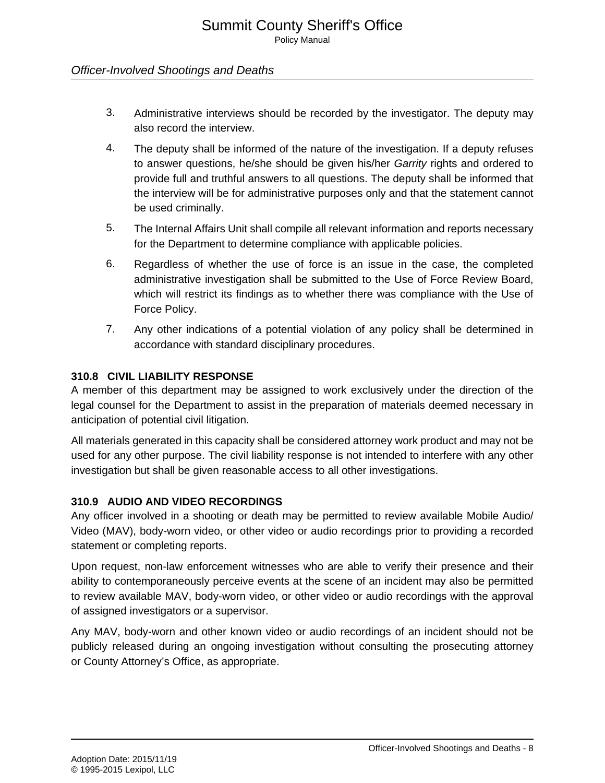- 3. Administrative interviews should be recorded by the investigator. The deputy may also record the interview.
- 4. The deputy shall be informed of the nature of the investigation. If a deputy refuses to answer questions, he/she should be given his/her Garrity rights and ordered to provide full and truthful answers to all questions. The deputy shall be informed that the interview will be for administrative purposes only and that the statement cannot be used criminally.
- 5. The Internal Affairs Unit shall compile all relevant information and reports necessary for the Department to determine compliance with applicable policies.
- 6. Regardless of whether the use of force is an issue in the case, the completed administrative investigation shall be submitted to the Use of Force Review Board, which will restrict its findings as to whether there was compliance with the Use of Force Policy.
- 7. Any other indications of a potential violation of any policy shall be determined in accordance with standard disciplinary procedures.

#### **310.8 CIVIL LIABILITY RESPONSE**

A member of this department may be assigned to work exclusively under the direction of the legal counsel for the Department to assist in the preparation of materials deemed necessary in anticipation of potential civil litigation.

All materials generated in this capacity shall be considered attorney work product and may not be used for any other purpose. The civil liability response is not intended to interfere with any other investigation but shall be given reasonable access to all other investigations.

## **310.9 AUDIO AND VIDEO RECORDINGS**

Any officer involved in a shooting or death may be permitted to review available Mobile Audio/ Video (MAV), body-worn video, or other video or audio recordings prior to providing a recorded statement or completing reports.

Upon request, non-law enforcement witnesses who are able to verify their presence and their ability to contemporaneously perceive events at the scene of an incident may also be permitted to review available MAV, body-worn video, or other video or audio recordings with the approval of assigned investigators or a supervisor.

Any MAV, body-worn and other known video or audio recordings of an incident should not be publicly released during an ongoing investigation without consulting the prosecuting attorney or County Attorney's Office, as appropriate.